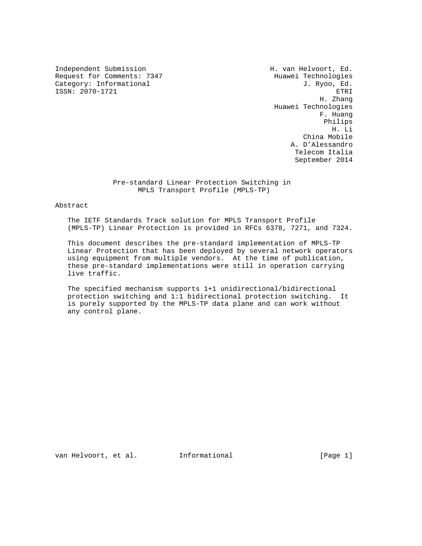Independent Submission **H. van Helvoort, Ed.** Request for Comments: 7347 Huawei Technologies Category: Informational J. Ryoo, Ed.<br>
ISSN: 2070-1721 ETRI ISSN: 2070-1721

 H. Zhang Huawei Technologies F. Huang Philips H. Li China Mobile A. D'Alessandro Telecom Italia September 2014

# Pre-standard Linear Protection Switching in MPLS Transport Profile (MPLS-TP)

#### Abstract

 The IETF Standards Track solution for MPLS Transport Profile (MPLS-TP) Linear Protection is provided in RFCs 6378, 7271, and 7324.

 This document describes the pre-standard implementation of MPLS-TP Linear Protection that has been deployed by several network operators using equipment from multiple vendors. At the time of publication, these pre-standard implementations were still in operation carrying live traffic.

 The specified mechanism supports 1+1 unidirectional/bidirectional protection switching and 1:1 bidirectional protection switching. It is purely supported by the MPLS-TP data plane and can work without any control plane.

van Helvoort, et al. Informational [Page 1]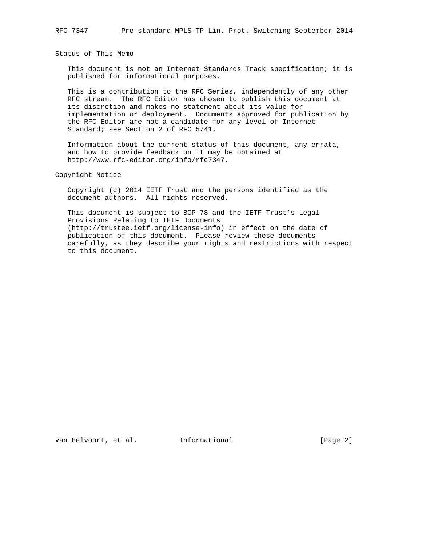Status of This Memo

 This document is not an Internet Standards Track specification; it is published for informational purposes.

 This is a contribution to the RFC Series, independently of any other RFC stream. The RFC Editor has chosen to publish this document at its discretion and makes no statement about its value for implementation or deployment. Documents approved for publication by the RFC Editor are not a candidate for any level of Internet Standard; see Section 2 of RFC 5741.

 Information about the current status of this document, any errata, and how to provide feedback on it may be obtained at http://www.rfc-editor.org/info/rfc7347.

Copyright Notice

 Copyright (c) 2014 IETF Trust and the persons identified as the document authors. All rights reserved.

 This document is subject to BCP 78 and the IETF Trust's Legal Provisions Relating to IETF Documents (http://trustee.ietf.org/license-info) in effect on the date of publication of this document. Please review these documents carefully, as they describe your rights and restrictions with respect to this document.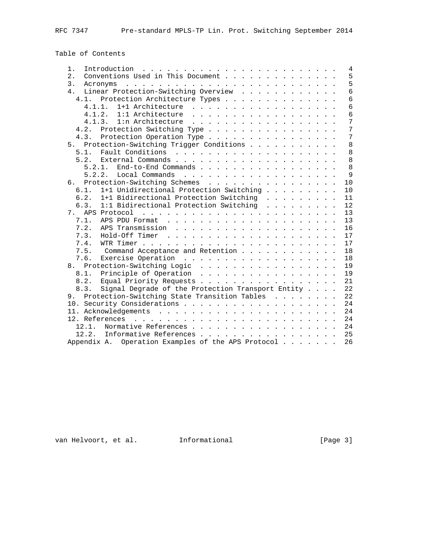Table of Contents

| 1.                                                                                                                                                                                                                                                |  | $\overline{4}$  |
|---------------------------------------------------------------------------------------------------------------------------------------------------------------------------------------------------------------------------------------------------|--|-----------------|
| Conventions Used in This Document<br>2.                                                                                                                                                                                                           |  | 5               |
| 3.<br>والمتعاون والمتعاون والمتعاونة والمتعاونة والمتعاونة والمتعاونة والمتعاونة والمتعاونة<br>Acronyms                                                                                                                                           |  | 5               |
| Linear Protection-Switching Overview<br>4.                                                                                                                                                                                                        |  | $6\overline{6}$ |
| 4.1. Protection Architecture Types                                                                                                                                                                                                                |  | 6               |
| 4.1.1.<br>1+1 Architecture                                                                                                                                                                                                                        |  | 6               |
| 4.1.2.<br>1:1 Architecture<br>and a construction of the construction of the                                                                                                                                                                       |  | 6               |
| 4.1.3.<br>1:n Architecture                                                                                                                                                                                                                        |  | 7               |
| Protection Switching Type<br>4.2.                                                                                                                                                                                                                 |  | 7               |
| 4.3. Protection Operation Type                                                                                                                                                                                                                    |  | 7               |
| Protection-Switching Trigger Conditions<br>5.                                                                                                                                                                                                     |  | 8               |
| 5.1.                                                                                                                                                                                                                                              |  | 8               |
| 5.2.                                                                                                                                                                                                                                              |  | 8               |
| End-to-End Commands<br>5.2.1.                                                                                                                                                                                                                     |  | 8               |
| 5.2.2.                                                                                                                                                                                                                                            |  | $\mathsf{Q}$    |
| Protection-Switching Schemes<br>б.                                                                                                                                                                                                                |  | 10              |
| 1+1 Unidirectional Protection Switching<br>6.1.                                                                                                                                                                                                   |  | 10              |
| 6.2.<br>1+1 Bidirectional Protection Switching                                                                                                                                                                                                    |  | 11              |
| 1:1 Bidirectional Protection Switching<br>6.3.                                                                                                                                                                                                    |  | 12              |
| 7. APS Protocol<br>and the company of the company of the company of the company of the company of the company of the company of the company of the company of the company of the company of the company of the company of the company of the comp |  | 13              |
| 7.1.                                                                                                                                                                                                                                              |  | 13              |
| 7.2.                                                                                                                                                                                                                                              |  | 16              |
| 7.3.                                                                                                                                                                                                                                              |  | 17              |
| 7.4.                                                                                                                                                                                                                                              |  | 17              |
| 7.5.<br>Command Acceptance and Retention                                                                                                                                                                                                          |  | 18              |
| 7.6.<br>Exercise Operation                                                                                                                                                                                                                        |  | 18              |
| Protection-Switching Logic<br>8.                                                                                                                                                                                                                  |  | 19              |
| Principle of Operation<br>8.1.                                                                                                                                                                                                                    |  | 19              |
| Equal Priority Requests<br>8.2.                                                                                                                                                                                                                   |  | 21              |
| Signal Degrade of the Protection Transport Entity<br>8.3.                                                                                                                                                                                         |  | 22              |
| 9. Protection-Switching State Transition Tables                                                                                                                                                                                                   |  | 22              |
|                                                                                                                                                                                                                                                   |  | 24              |
|                                                                                                                                                                                                                                                   |  | 24              |
|                                                                                                                                                                                                                                                   |  | 24              |
| Normative References<br>12.1.                                                                                                                                                                                                                     |  | 24              |
| 12.2. Informative References                                                                                                                                                                                                                      |  | 25              |
| Appendix A. Operation Examples of the APS Protocol                                                                                                                                                                                                |  | 26              |

van Helvoort, et al. 1nformational (Page 3)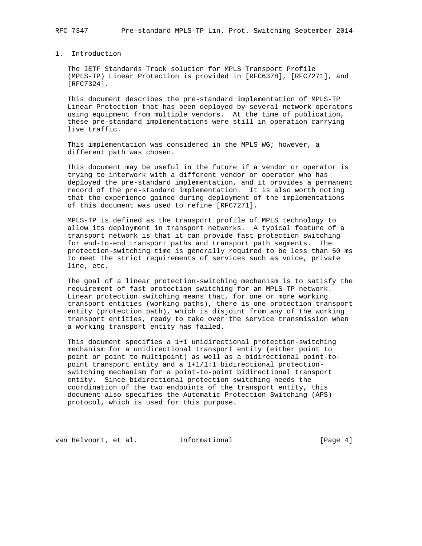# 1. Introduction

 The IETF Standards Track solution for MPLS Transport Profile (MPLS-TP) Linear Protection is provided in [RFC6378], [RFC7271], and [RFC7324].

 This document describes the pre-standard implementation of MPLS-TP Linear Protection that has been deployed by several network operators using equipment from multiple vendors. At the time of publication, these pre-standard implementations were still in operation carrying live traffic.

 This implementation was considered in the MPLS WG; however, a different path was chosen.

 This document may be useful in the future if a vendor or operator is trying to interwork with a different vendor or operator who has deployed the pre-standard implementation, and it provides a permanent record of the pre-standard implementation. It is also worth noting that the experience gained during deployment of the implementations of this document was used to refine [RFC7271].

 MPLS-TP is defined as the transport profile of MPLS technology to allow its deployment in transport networks. A typical feature of a transport network is that it can provide fast protection switching for end-to-end transport paths and transport path segments. The protection-switching time is generally required to be less than 50 ms to meet the strict requirements of services such as voice, private line, etc.

 The goal of a linear protection-switching mechanism is to satisfy the requirement of fast protection switching for an MPLS-TP network. Linear protection switching means that, for one or more working transport entities (working paths), there is one protection transport entity (protection path), which is disjoint from any of the working transport entities, ready to take over the service transmission when a working transport entity has failed.

 This document specifies a 1+1 unidirectional protection-switching mechanism for a unidirectional transport entity (either point to point or point to multipoint) as well as a bidirectional point-to point transport entity and a 1+1/1:1 bidirectional protection switching mechanism for a point-to-point bidirectional transport entity. Since bidirectional protection switching needs the coordination of the two endpoints of the transport entity, this document also specifies the Automatic Protection Switching (APS) protocol, which is used for this purpose.

van Helvoort, et al. Informational [Page 4]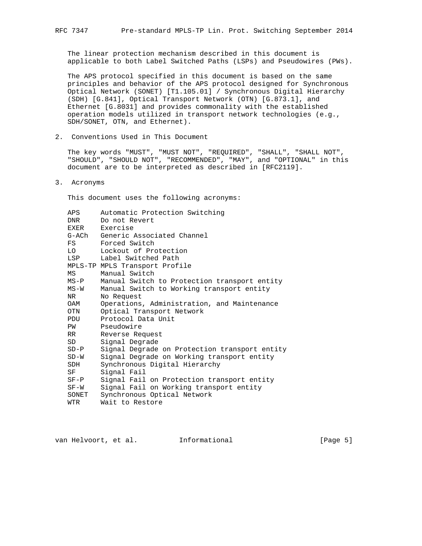The linear protection mechanism described in this document is applicable to both Label Switched Paths (LSPs) and Pseudowires (PWs).

 The APS protocol specified in this document is based on the same principles and behavior of the APS protocol designed for Synchronous Optical Network (SONET) [T1.105.01] / Synchronous Digital Hierarchy (SDH) [G.841], Optical Transport Network (OTN) [G.873.1], and Ethernet [G.8031] and provides commonality with the established operation models utilized in transport network technologies (e.g., SDH/SONET, OTN, and Ethernet).

2. Conventions Used in This Document

 The key words "MUST", "MUST NOT", "REQUIRED", "SHALL", "SHALL NOT", "SHOULD", "SHOULD NOT", "RECOMMENDED", "MAY", and "OPTIONAL" in this document are to be interpreted as described in [RFC2119].

3. Acronyms

This document uses the following acronyms:

| APS                                                                                                                                                                                                                            | Automatic Protection Switching                |
|--------------------------------------------------------------------------------------------------------------------------------------------------------------------------------------------------------------------------------|-----------------------------------------------|
| DNR                                                                                                                                                                                                                            | Do not Revert                                 |
| EXER                                                                                                                                                                                                                           | Exercise                                      |
|                                                                                                                                                                                                                                | G-ACh Generic Associated Channel              |
| FS                                                                                                                                                                                                                             | Forced Switch                                 |
| LO                                                                                                                                                                                                                             | Lockout of Protection                         |
| LSP                                                                                                                                                                                                                            | Label Switched Path                           |
|                                                                                                                                                                                                                                | MPLS-TP MPLS Transport Profile                |
| МS                                                                                                                                                                                                                             | Manual Switch                                 |
| MS-P                                                                                                                                                                                                                           | Manual Switch to Protection transport entity  |
| MS-W                                                                                                                                                                                                                           | Manual Switch to Working transport entity     |
| NR                                                                                                                                                                                                                             | No Request                                    |
| OAM                                                                                                                                                                                                                            | Operations, Administration, and Maintenance   |
| OTN                                                                                                                                                                                                                            | Optical Transport Network                     |
| <b>PDU</b>                                                                                                                                                                                                                     | Protocol Data Unit                            |
| PW                                                                                                                                                                                                                             | Pseudowire                                    |
| RR and the set of the set of the set of the set of the set of the set of the set of the set of the set of the set of the set of the set of the set of the set of the set of the set of the set of the set of the set of the se | Reverse Request                               |
| SD                                                                                                                                                                                                                             | Signal Degrade                                |
| $SD-P$                                                                                                                                                                                                                         | Signal Degrade on Protection transport entity |
| $SD-W$                                                                                                                                                                                                                         | Signal Degrade on Working transport entity    |
| SDH                                                                                                                                                                                                                            | Synchronous Digital Hierarchy                 |
| SF                                                                                                                                                                                                                             | Signal Fail                                   |
| $SF-P$                                                                                                                                                                                                                         | Signal Fail on Protection transport entity    |
| $SF-W$                                                                                                                                                                                                                         | Signal Fail on Working transport entity       |
| SONET                                                                                                                                                                                                                          | Synchronous Optical Network                   |
| WTR                                                                                                                                                                                                                            | Wait to Restore                               |
|                                                                                                                                                                                                                                |                                               |

van Helvoort, et al. 1nformational (Page 5)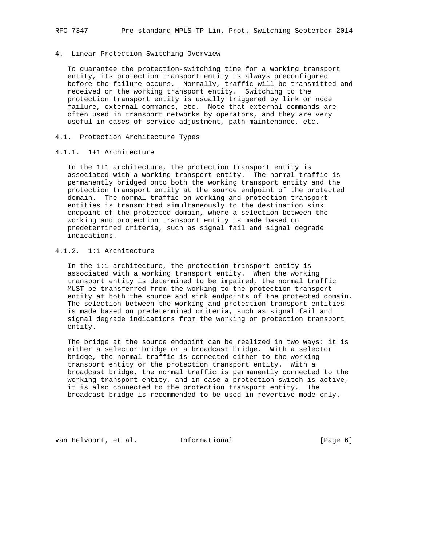#### 4. Linear Protection-Switching Overview

 To guarantee the protection-switching time for a working transport entity, its protection transport entity is always preconfigured before the failure occurs. Normally, traffic will be transmitted and received on the working transport entity. Switching to the protection transport entity is usually triggered by link or node failure, external commands, etc. Note that external commands are often used in transport networks by operators, and they are very useful in cases of service adjustment, path maintenance, etc.

### 4.1. Protection Architecture Types

### 4.1.1. 1+1 Architecture

 In the 1+1 architecture, the protection transport entity is associated with a working transport entity. The normal traffic is permanently bridged onto both the working transport entity and the protection transport entity at the source endpoint of the protected domain. The normal traffic on working and protection transport entities is transmitted simultaneously to the destination sink endpoint of the protected domain, where a selection between the working and protection transport entity is made based on predetermined criteria, such as signal fail and signal degrade indications.

# 4.1.2. 1:1 Architecture

 In the 1:1 architecture, the protection transport entity is associated with a working transport entity. When the working transport entity is determined to be impaired, the normal traffic MUST be transferred from the working to the protection transport entity at both the source and sink endpoints of the protected domain. The selection between the working and protection transport entities is made based on predetermined criteria, such as signal fail and signal degrade indications from the working or protection transport entity.

 The bridge at the source endpoint can be realized in two ways: it is either a selector bridge or a broadcast bridge. With a selector bridge, the normal traffic is connected either to the working transport entity or the protection transport entity. With a broadcast bridge, the normal traffic is permanently connected to the working transport entity, and in case a protection switch is active, it is also connected to the protection transport entity. The broadcast bridge is recommended to be used in revertive mode only.

van Helvoort, et al. Informational [Page 6]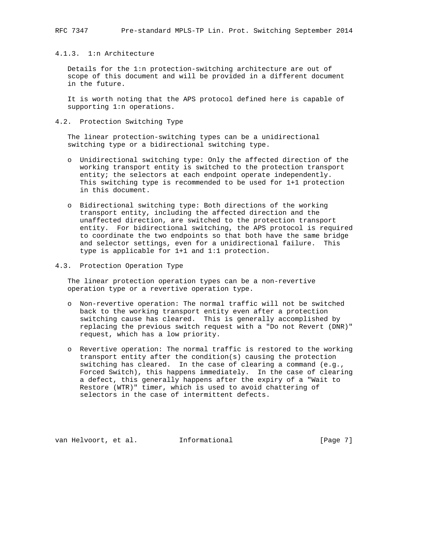## 4.1.3. 1:n Architecture

 Details for the 1:n protection-switching architecture are out of scope of this document and will be provided in a different document in the future.

 It is worth noting that the APS protocol defined here is capable of supporting 1:n operations.

## 4.2. Protection Switching Type

 The linear protection-switching types can be a unidirectional switching type or a bidirectional switching type.

- o Unidirectional switching type: Only the affected direction of the working transport entity is switched to the protection transport entity; the selectors at each endpoint operate independently. This switching type is recommended to be used for 1+1 protection in this document.
- o Bidirectional switching type: Both directions of the working transport entity, including the affected direction and the unaffected direction, are switched to the protection transport entity. For bidirectional switching, the APS protocol is required to coordinate the two endpoints so that both have the same bridge and selector settings, even for a unidirectional failure. This type is applicable for 1+1 and 1:1 protection.
- 4.3. Protection Operation Type

 The linear protection operation types can be a non-revertive operation type or a revertive operation type.

- o Non-revertive operation: The normal traffic will not be switched back to the working transport entity even after a protection switching cause has cleared. This is generally accomplished by replacing the previous switch request with a "Do not Revert (DNR)" request, which has a low priority.
- o Revertive operation: The normal traffic is restored to the working transport entity after the condition(s) causing the protection switching has cleared. In the case of clearing a command (e.g., Forced Switch), this happens immediately. In the case of clearing a defect, this generally happens after the expiry of a "Wait to Restore (WTR)" timer, which is used to avoid chattering of selectors in the case of intermittent defects.

van Helvoort, et al. Informational [Page 7]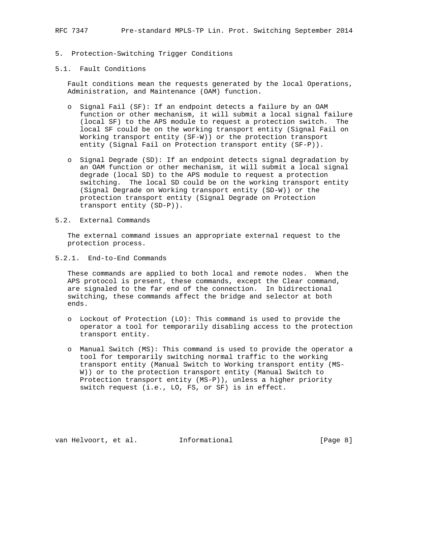RFC 7347 Pre-standard MPLS-TP Lin. Prot. Switching September 2014

# 5. Protection-Switching Trigger Conditions

#### 5.1. Fault Conditions

 Fault conditions mean the requests generated by the local Operations, Administration, and Maintenance (OAM) function.

- o Signal Fail (SF): If an endpoint detects a failure by an OAM function or other mechanism, it will submit a local signal failure (local SF) to the APS module to request a protection switch. The local SF could be on the working transport entity (Signal Fail on Working transport entity (SF-W)) or the protection transport entity (Signal Fail on Protection transport entity (SF-P)).
- o Signal Degrade (SD): If an endpoint detects signal degradation by an OAM function or other mechanism, it will submit a local signal degrade (local SD) to the APS module to request a protection switching. The local SD could be on the working transport entity (Signal Degrade on Working transport entity (SD-W)) or the protection transport entity (Signal Degrade on Protection transport entity (SD-P)).

### 5.2. External Commands

 The external command issues an appropriate external request to the protection process.

5.2.1. End-to-End Commands

 These commands are applied to both local and remote nodes. When the APS protocol is present, these commands, except the Clear command, are signaled to the far end of the connection. In bidirectional switching, these commands affect the bridge and selector at both ends.

- o Lockout of Protection (LO): This command is used to provide the operator a tool for temporarily disabling access to the protection transport entity.
- o Manual Switch (MS): This command is used to provide the operator a tool for temporarily switching normal traffic to the working transport entity (Manual Switch to Working transport entity (MS- W)) or to the protection transport entity (Manual Switch to Protection transport entity (MS-P)), unless a higher priority switch request (i.e., LO, FS, or SF) is in effect.

van Helvoort, et al. Informational [Page 8]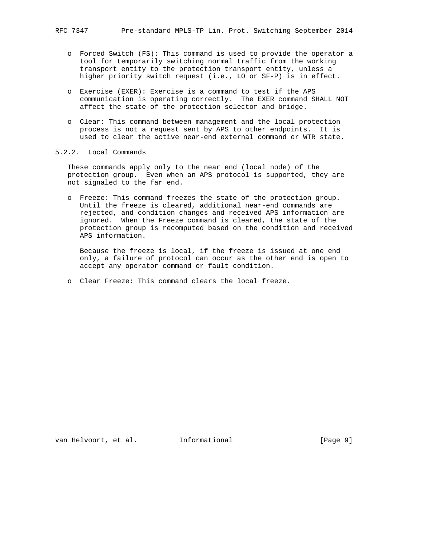- o Forced Switch (FS): This command is used to provide the operator a tool for temporarily switching normal traffic from the working transport entity to the protection transport entity, unless a higher priority switch request (i.e., LO or SF-P) is in effect.
- o Exercise (EXER): Exercise is a command to test if the APS communication is operating correctly. The EXER command SHALL NOT affect the state of the protection selector and bridge.
- o Clear: This command between management and the local protection process is not a request sent by APS to other endpoints. It is used to clear the active near-end external command or WTR state.

## 5.2.2. Local Commands

 These commands apply only to the near end (local node) of the protection group. Even when an APS protocol is supported, they are not signaled to the far end.

 o Freeze: This command freezes the state of the protection group. Until the freeze is cleared, additional near-end commands are rejected, and condition changes and received APS information are ignored. When the Freeze command is cleared, the state of the protection group is recomputed based on the condition and received APS information.

 Because the freeze is local, if the freeze is issued at one end only, a failure of protocol can occur as the other end is open to accept any operator command or fault condition.

o Clear Freeze: This command clears the local freeze.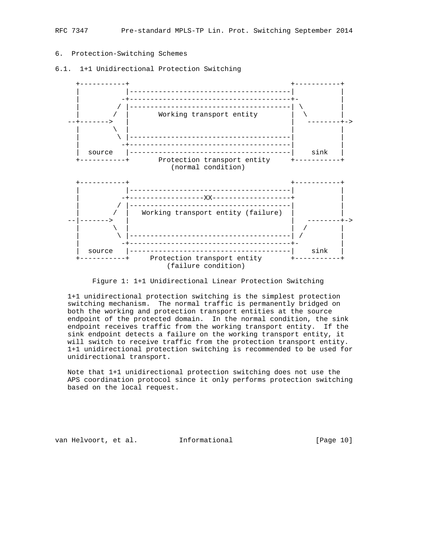# 6. Protection-Switching Schemes

6.1. 1+1 Unidirectional Protection Switching



Figure 1: 1+1 Unidirectional Linear Protection Switching

 1+1 unidirectional protection switching is the simplest protection switching mechanism. The normal traffic is permanently bridged on both the working and protection transport entities at the source endpoint of the protected domain. In the normal condition, the sink endpoint receives traffic from the working transport entity. If the sink endpoint detects a failure on the working transport entity, it will switch to receive traffic from the protection transport entity. 1+1 unidirectional protection switching is recommended to be used for unidirectional transport.

 Note that 1+1 unidirectional protection switching does not use the APS coordination protocol since it only performs protection switching based on the local request.

van Helvoort, et al. 1nformational [Page 10]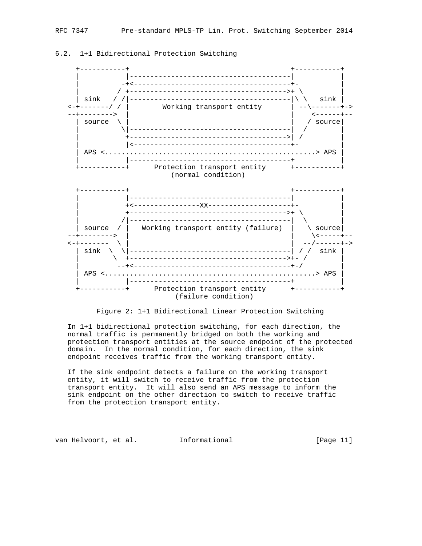

6.2. 1+1 Bidirectional Protection Switching



 In 1+1 bidirectional protection switching, for each direction, the normal traffic is permanently bridged on both the working and protection transport entities at the source endpoint of the protected domain. In the normal condition, for each direction, the sink endpoint receives traffic from the working transport entity.

 If the sink endpoint detects a failure on the working transport entity, it will switch to receive traffic from the protection transport entity. It will also send an APS message to inform the sink endpoint on the other direction to switch to receive traffic from the protection transport entity.

van Helvoort, et al. Informational [Page 11]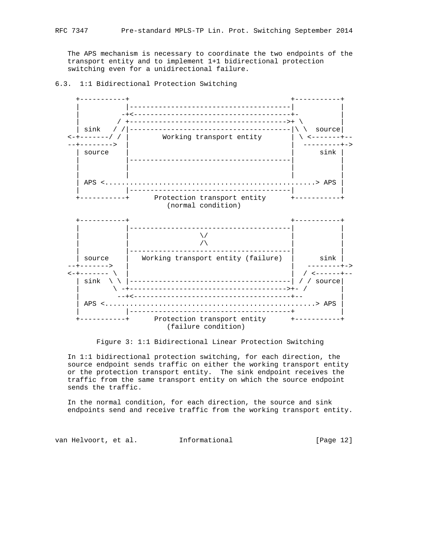The APS mechanism is necessary to coordinate the two endpoints of the transport entity and to implement 1+1 bidirectional protection switching even for a unidirectional failure.

# 6.3. 1:1 Bidirectional Protection Switching



Figure 3: 1:1 Bidirectional Linear Protection Switching

 In 1:1 bidirectional protection switching, for each direction, the source endpoint sends traffic on either the working transport entity or the protection transport entity. The sink endpoint receives the traffic from the same transport entity on which the source endpoint sends the traffic.

 In the normal condition, for each direction, the source and sink endpoints send and receive traffic from the working transport entity.

van Helvoort, et al. 1nformational [Page 12]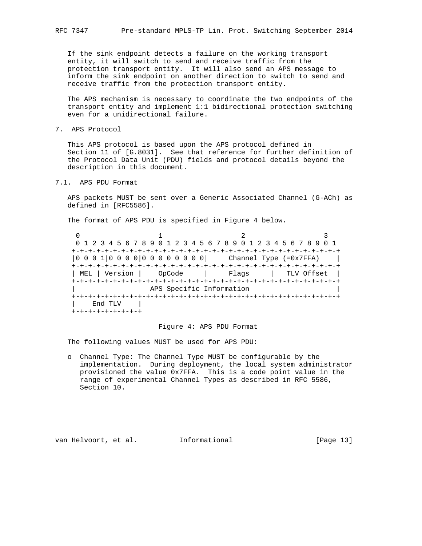If the sink endpoint detects a failure on the working transport entity, it will switch to send and receive traffic from the protection transport entity. It will also send an APS message to inform the sink endpoint on another direction to switch to send and receive traffic from the protection transport entity.

 The APS mechanism is necessary to coordinate the two endpoints of the transport entity and implement 1:1 bidirectional protection switching even for a unidirectional failure.

7. APS Protocol

 This APS protocol is based upon the APS protocol defined in Section 11 of [G.8031]. See that reference for further definition of the Protocol Data Unit (PDU) fields and protocol details beyond the description in this document.

7.1. APS PDU Format

 APS packets MUST be sent over a Generic Associated Channel (G-ACh) as defined in [RFC5586].

The format of APS PDU is specified in Figure 4 below.

|               |                          | 0 1 2 3 4 5 6 7 8 9 0 1 2 3 4 5 6 7 8 9 0 1 2 3 4 5 6 7 8 9 0 1                                                  |  |
|---------------|--------------------------|------------------------------------------------------------------------------------------------------------------|--|
|               |                          |                                                                                                                  |  |
|               |                          | $\begin{bmatrix} 0 & 0 & 0 & 1 & 0 & 0 & 0 & 0 & 0 & 0 & 0 & 0 & 0 & 0 & 0 \end{bmatrix}$ Channel Type (=0x7FFA) |  |
|               |                          |                                                                                                                  |  |
| MEL   Version | OpCode                   | Flaqs<br>  TLV Offset                                                                                            |  |
|               |                          |                                                                                                                  |  |
|               | APS Specific Information |                                                                                                                  |  |
|               |                          |                                                                                                                  |  |
| End TLV       |                          |                                                                                                                  |  |
| -+-+-+-+-+-+  |                          |                                                                                                                  |  |

#### Figure 4: APS PDU Format

The following values MUST be used for APS PDU:

 o Channel Type: The Channel Type MUST be configurable by the implementation. During deployment, the local system administrator provisioned the value 0x7FFA. This is a code point value in the range of experimental Channel Types as described in RFC 5586, Section 10.

van Helvoort, et al. Informational [Page 13]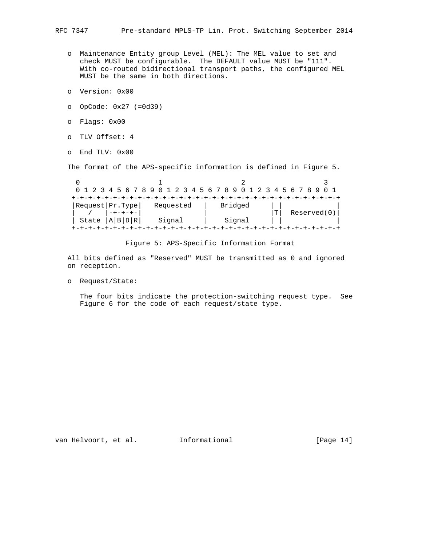- o Maintenance Entity group Level (MEL): The MEL value to set and check MUST be configurable. The DEFAULT value MUST be "111". With co-routed bidirectional transport paths, the configured MEL MUST be the same in both directions.
	- o Version: 0x00
	- o OpCode: 0x27 (=0d39)
	- o Flags: 0x00
	- o TLV Offset: 4
	- o End TLV: 0x00

The format of the APS-specific information is defined in Figure 5.

|       | 0 1 2 3 4 5 6 7 8 9 0 1 2 3 4 5 6 7 8 9 0 1 2 3 4 5 6 7 8 |           |  |         |   |             |  |  |
|-------|-----------------------------------------------------------|-----------|--|---------|---|-------------|--|--|
|       |                                                           |           |  |         |   |             |  |  |
|       | Request   Pr. Type                                        | Requested |  | Bridged |   |             |  |  |
|       |                                                           |           |  |         | m | Reserved(0) |  |  |
| State | A B D R                                                   | Signal    |  | Signal  |   |             |  |  |
|       |                                                           |           |  |         |   |             |  |  |

Figure 5: APS-Specific Information Format

 All bits defined as "Reserved" MUST be transmitted as 0 and ignored on reception.

o Request/State:

 The four bits indicate the protection-switching request type. See Figure 6 for the code of each request/state type.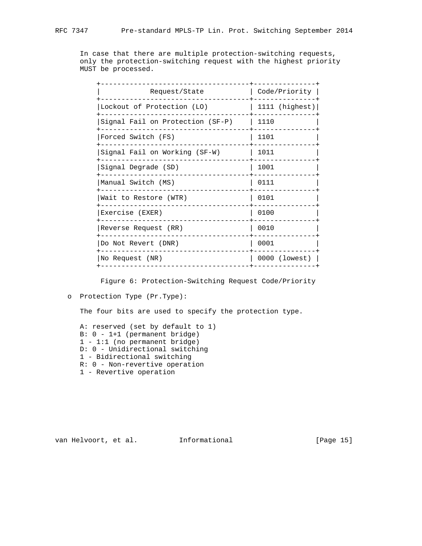In case that there are multiple protection-switching requests, only the protection-switching request with the highest priority MUST be processed.

| Request/State                    | Code/Priority    |
|----------------------------------|------------------|
| Lockout of Protection (LO)       | $1111$ (highest) |
| Signal Fail on Protection (SF-P) | 1110             |
| Forced Switch (FS)               | 1101             |
| Signal Fail on Working (SF-W)    | 1011             |
| Signal Degrade (SD)              | 1001             |
| Manual Switch (MS)               | 0111             |
| Wait to Restore (WTR)            | 0101             |
| Exercise (EXER)                  | 0100             |
| Reverse Request (RR)             | 0010             |
| Do Not Revert (DNR)              | 0001             |
| No Request (NR)                  | 0000 (lowest)    |
|                                  |                  |

Figure 6: Protection-Switching Request Code/Priority

The four bits are used to specify the protection type.

 A: reserved (set by default to 1) B: 0 - 1+1 (permanent bridge) 1 - 1:1 (no permanent bridge) D: 0 - Unidirectional switching 1 - Bidirectional switching R: 0 - Non-revertive operation 1 - Revertive operation

van Helvoort, et al. 1nformational [Page 15]

o Protection Type (Pr.Type):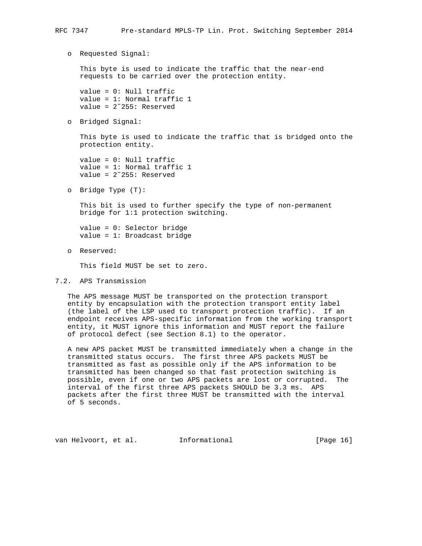o Requested Signal:

 This byte is used to indicate the traffic that the near-end requests to be carried over the protection entity.

 value = 0: Null traffic value = 1: Normal traffic 1 value = 2˜255: Reserved

o Bridged Signal:

 This byte is used to indicate the traffic that is bridged onto the protection entity.

 value = 0: Null traffic value = 1: Normal traffic 1 value = 2˜255: Reserved

o Bridge Type (T):

 This bit is used to further specify the type of non-permanent bridge for 1:1 protection switching.

 value = 0: Selector bridge value = 1: Broadcast bridge

o Reserved:

This field MUST be set to zero.

7.2. APS Transmission

 The APS message MUST be transported on the protection transport entity by encapsulation with the protection transport entity label (the label of the LSP used to transport protection traffic). If an endpoint receives APS-specific information from the working transport entity, it MUST ignore this information and MUST report the failure of protocol defect (see Section 8.1) to the operator.

 A new APS packet MUST be transmitted immediately when a change in the transmitted status occurs. The first three APS packets MUST be transmitted as fast as possible only if the APS information to be transmitted has been changed so that fast protection switching is possible, even if one or two APS packets are lost or corrupted. The interval of the first three APS packets SHOULD be 3.3 ms. APS packets after the first three MUST be transmitted with the interval of 5 seconds.

van Helvoort, et al. Informational [Page 16]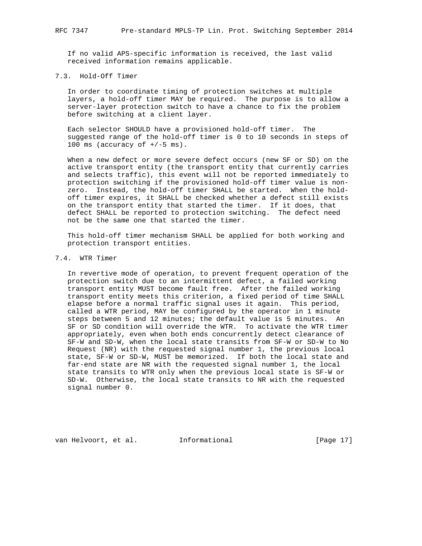If no valid APS-specific information is received, the last valid received information remains applicable.

# 7.3. Hold-Off Timer

 In order to coordinate timing of protection switches at multiple layers, a hold-off timer MAY be required. The purpose is to allow a server-layer protection switch to have a chance to fix the problem before switching at a client layer.

 Each selector SHOULD have a provisioned hold-off timer. The suggested range of the hold-off timer is 0 to 10 seconds in steps of 100 ms (accuracy of  $+/-5$  ms).

 When a new defect or more severe defect occurs (new SF or SD) on the active transport entity (the transport entity that currently carries and selects traffic), this event will not be reported immediately to protection switching if the provisioned hold-off timer value is non zero. Instead, the hold-off timer SHALL be started. When the hold off timer expires, it SHALL be checked whether a defect still exists on the transport entity that started the timer. If it does, that defect SHALL be reported to protection switching. The defect need not be the same one that started the timer.

 This hold-off timer mechanism SHALL be applied for both working and protection transport entities.

# 7.4. WTR Timer

 In revertive mode of operation, to prevent frequent operation of the protection switch due to an intermittent defect, a failed working transport entity MUST become fault free. After the failed working transport entity meets this criterion, a fixed period of time SHALL elapse before a normal traffic signal uses it again. This period, called a WTR period, MAY be configured by the operator in 1 minute steps between 5 and 12 minutes; the default value is 5 minutes. An SF or SD condition will override the WTR. To activate the WTR timer appropriately, even when both ends concurrently detect clearance of SF-W and SD-W, when the local state transits from SF-W or SD-W to No Request (NR) with the requested signal number 1, the previous local state, SF-W or SD-W, MUST be memorized. If both the local state and far-end state are NR with the requested signal number 1, the local state transits to WTR only when the previous local state is SF-W or SD-W. Otherwise, the local state transits to NR with the requested signal number 0.

van Helvoort, et al. Informational [Page 17]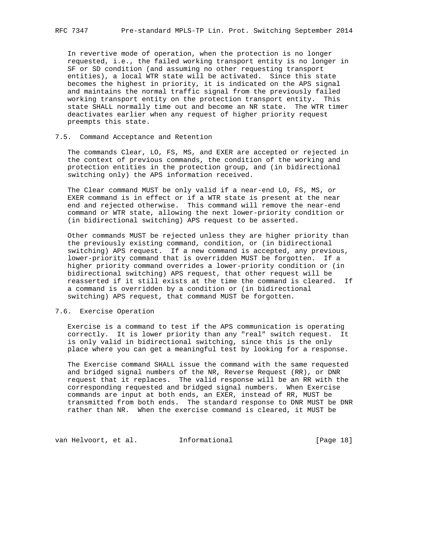In revertive mode of operation, when the protection is no longer requested, i.e., the failed working transport entity is no longer in SF or SD condition (and assuming no other requesting transport entities), a local WTR state will be activated. Since this state becomes the highest in priority, it is indicated on the APS signal and maintains the normal traffic signal from the previously failed working transport entity on the protection transport entity. This state SHALL normally time out and become an NR state. The WTR timer deactivates earlier when any request of higher priority request preempts this state.

### 7.5. Command Acceptance and Retention

 The commands Clear, LO, FS, MS, and EXER are accepted or rejected in the context of previous commands, the condition of the working and protection entities in the protection group, and (in bidirectional switching only) the APS information received.

 The Clear command MUST be only valid if a near-end LO, FS, MS, or EXER command is in effect or if a WTR state is present at the near end and rejected otherwise. This command will remove the near-end command or WTR state, allowing the next lower-priority condition or (in bidirectional switching) APS request to be asserted.

 Other commands MUST be rejected unless they are higher priority than the previously existing command, condition, or (in bidirectional switching) APS request. If a new command is accepted, any previous, lower-priority command that is overridden MUST be forgotten. If a higher priority command overrides a lower-priority condition or (in bidirectional switching) APS request, that other request will be reasserted if it still exists at the time the command is cleared. If a command is overridden by a condition or (in bidirectional switching) APS request, that command MUST be forgotten.

## 7.6. Exercise Operation

 Exercise is a command to test if the APS communication is operating correctly. It is lower priority than any "real" switch request. It is only valid in bidirectional switching, since this is the only place where you can get a meaningful test by looking for a response.

 The Exercise command SHALL issue the command with the same requested and bridged signal numbers of the NR, Reverse Request (RR), or DNR request that it replaces. The valid response will be an RR with the corresponding requested and bridged signal numbers. When Exercise commands are input at both ends, an EXER, instead of RR, MUST be transmitted from both ends. The standard response to DNR MUST be DNR rather than NR. When the exercise command is cleared, it MUST be

van Helvoort, et al. 1nformational [Page 18]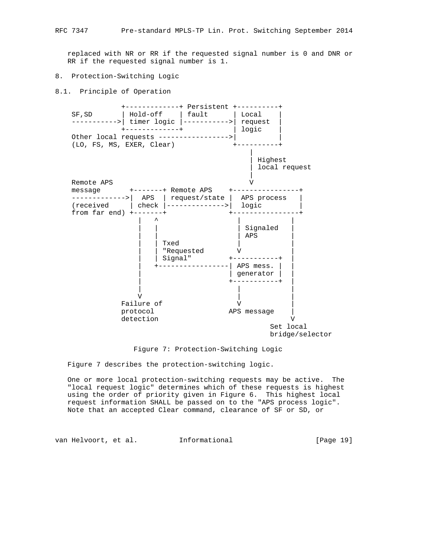replaced with NR or RR if the requested signal number is 0 and DNR or RR if the requested signal number is 1.

#### 8. Protection-Switching Logic

8.1. Principle of Operation



Figure 7: Protection-Switching Logic

Figure 7 describes the protection-switching logic.

 One or more local protection-switching requests may be active. The "local request logic" determines which of these requests is highest using the order of priority given in Figure 6. This highest local request information SHALL be passed on to the "APS process logic". Note that an accepted Clear command, clearance of SF or SD, or

van Helvoort, et al. 1nformational [Page 19]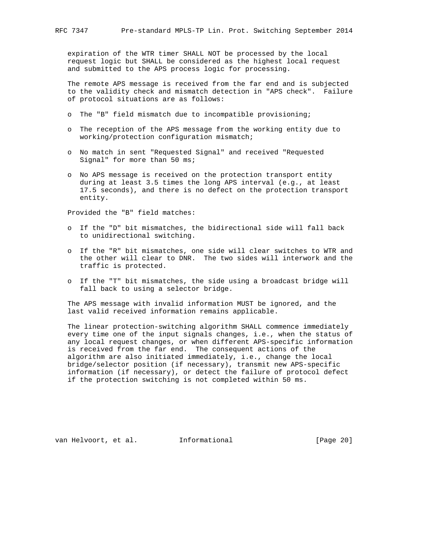expiration of the WTR timer SHALL NOT be processed by the local request logic but SHALL be considered as the highest local request and submitted to the APS process logic for processing.

 The remote APS message is received from the far end and is subjected to the validity check and mismatch detection in "APS check". Failure of protocol situations are as follows:

- o The "B" field mismatch due to incompatible provisioning;
- o The reception of the APS message from the working entity due to working/protection configuration mismatch;
- o No match in sent "Requested Signal" and received "Requested Signal" for more than 50 ms;
- o No APS message is received on the protection transport entity during at least 3.5 times the long APS interval (e.g., at least 17.5 seconds), and there is no defect on the protection transport entity.

Provided the "B" field matches:

- o If the "D" bit mismatches, the bidirectional side will fall back to unidirectional switching.
- o If the "R" bit mismatches, one side will clear switches to WTR and the other will clear to DNR. The two sides will interwork and the traffic is protected.
- o If the "T" bit mismatches, the side using a broadcast bridge will fall back to using a selector bridge.

 The APS message with invalid information MUST be ignored, and the last valid received information remains applicable.

 The linear protection-switching algorithm SHALL commence immediately every time one of the input signals changes, i.e., when the status of any local request changes, or when different APS-specific information is received from the far end. The consequent actions of the algorithm are also initiated immediately, i.e., change the local bridge/selector position (if necessary), transmit new APS-specific information (if necessary), or detect the failure of protocol defect if the protection switching is not completed within 50 ms.

van Helvoort, et al. Informational [Page 20]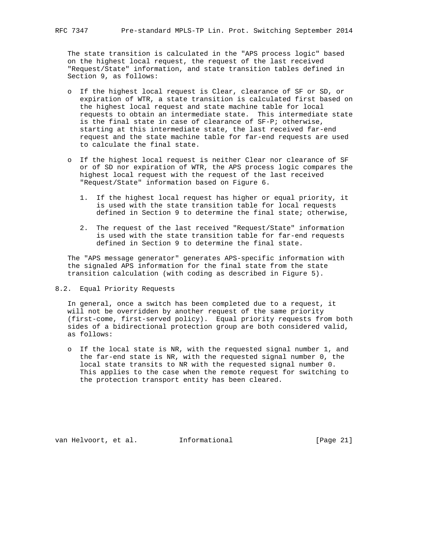The state transition is calculated in the "APS process logic" based on the highest local request, the request of the last received "Request/State" information, and state transition tables defined in Section 9, as follows:

- o If the highest local request is Clear, clearance of SF or SD, or expiration of WTR, a state transition is calculated first based on the highest local request and state machine table for local requests to obtain an intermediate state. This intermediate state is the final state in case of clearance of SF-P; otherwise, starting at this intermediate state, the last received far-end request and the state machine table for far-end requests are used to calculate the final state.
- o If the highest local request is neither Clear nor clearance of SF or of SD nor expiration of WTR, the APS process logic compares the highest local request with the request of the last received "Request/State" information based on Figure 6.
	- 1. If the highest local request has higher or equal priority, it is used with the state transition table for local requests defined in Section 9 to determine the final state; otherwise,
	- 2. The request of the last received "Request/State" information is used with the state transition table for far-end requests defined in Section 9 to determine the final state.

 The "APS message generator" generates APS-specific information with the signaled APS information for the final state from the state transition calculation (with coding as described in Figure 5).

8.2. Equal Priority Requests

 In general, once a switch has been completed due to a request, it will not be overridden by another request of the same priority (first-come, first-served policy). Equal priority requests from both sides of a bidirectional protection group are both considered valid, as follows:

 o If the local state is NR, with the requested signal number 1, and the far-end state is NR, with the requested signal number 0, the local state transits to NR with the requested signal number 0. This applies to the case when the remote request for switching to the protection transport entity has been cleared.

van Helvoort, et al. Informational [Page 21]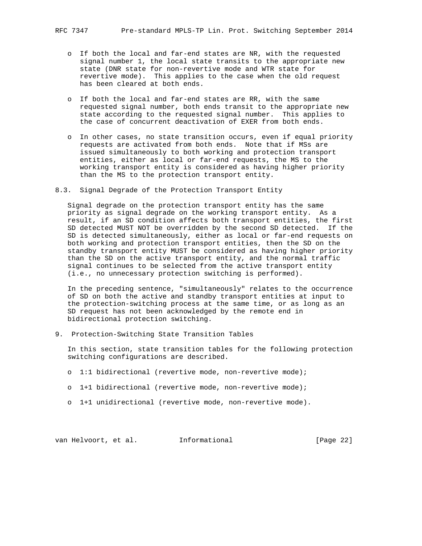- o If both the local and far-end states are NR, with the requested signal number 1, the local state transits to the appropriate new state (DNR state for non-revertive mode and WTR state for revertive mode). This applies to the case when the old request has been cleared at both ends.
- o If both the local and far-end states are RR, with the same requested signal number, both ends transit to the appropriate new state according to the requested signal number. This applies to the case of concurrent deactivation of EXER from both ends.
- o In other cases, no state transition occurs, even if equal priority requests are activated from both ends. Note that if MSs are issued simultaneously to both working and protection transport entities, either as local or far-end requests, the MS to the working transport entity is considered as having higher priority than the MS to the protection transport entity.
- 8.3. Signal Degrade of the Protection Transport Entity

 Signal degrade on the protection transport entity has the same priority as signal degrade on the working transport entity. As a result, if an SD condition affects both transport entities, the first SD detected MUST NOT be overridden by the second SD detected. If the SD is detected simultaneously, either as local or far-end requests on both working and protection transport entities, then the SD on the standby transport entity MUST be considered as having higher priority than the SD on the active transport entity, and the normal traffic signal continues to be selected from the active transport entity (i.e., no unnecessary protection switching is performed).

 In the preceding sentence, "simultaneously" relates to the occurrence of SD on both the active and standby transport entities at input to the protection-switching process at the same time, or as long as an SD request has not been acknowledged by the remote end in bidirectional protection switching.

9. Protection-Switching State Transition Tables

 In this section, state transition tables for the following protection switching configurations are described.

- o 1:1 bidirectional (revertive mode, non-revertive mode);
- o 1+1 bidirectional (revertive mode, non-revertive mode);
- o 1+1 unidirectional (revertive mode, non-revertive mode).

van Helvoort, et al. 1nformational [Page 22]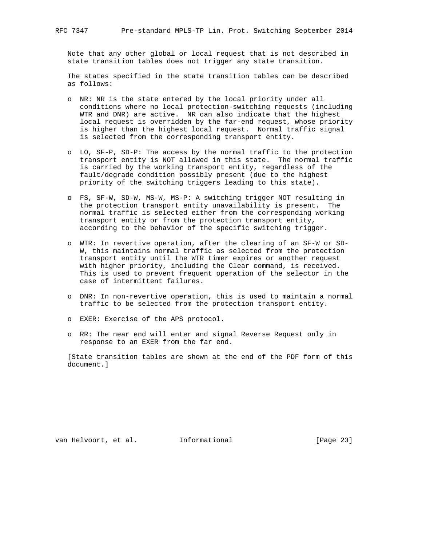Note that any other global or local request that is not described in state transition tables does not trigger any state transition.

 The states specified in the state transition tables can be described as follows:

- o NR: NR is the state entered by the local priority under all conditions where no local protection-switching requests (including WTR and DNR) are active. NR can also indicate that the highest local request is overridden by the far-end request, whose priority is higher than the highest local request. Normal traffic signal is selected from the corresponding transport entity.
- o LO, SF-P, SD-P: The access by the normal traffic to the protection transport entity is NOT allowed in this state. The normal traffic is carried by the working transport entity, regardless of the fault/degrade condition possibly present (due to the highest priority of the switching triggers leading to this state).
- o FS, SF-W, SD-W, MS-W, MS-P: A switching trigger NOT resulting in the protection transport entity unavailability is present. The normal traffic is selected either from the corresponding working transport entity or from the protection transport entity, according to the behavior of the specific switching trigger.
- o WTR: In revertive operation, after the clearing of an SF-W or SD- W, this maintains normal traffic as selected from the protection transport entity until the WTR timer expires or another request with higher priority, including the Clear command, is received. This is used to prevent frequent operation of the selector in the case of intermittent failures.
- o DNR: In non-revertive operation, this is used to maintain a normal traffic to be selected from the protection transport entity.
- o EXER: Exercise of the APS protocol.
- o RR: The near end will enter and signal Reverse Request only in response to an EXER from the far end.

 [State transition tables are shown at the end of the PDF form of this document.]

van Helvoort, et al. Informational [Page 23]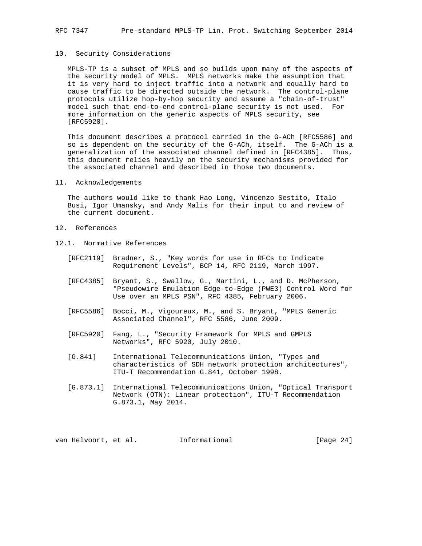#### 10. Security Considerations

 MPLS-TP is a subset of MPLS and so builds upon many of the aspects of the security model of MPLS. MPLS networks make the assumption that it is very hard to inject traffic into a network and equally hard to cause traffic to be directed outside the network. The control-plane protocols utilize hop-by-hop security and assume a "chain-of-trust" model such that end-to-end control-plane security is not used. For more information on the generic aspects of MPLS security, see [RFC5920].

 This document describes a protocol carried in the G-ACh [RFC5586] and so is dependent on the security of the G-ACh, itself. The G-ACh is a generalization of the associated channel defined in [RFC4385]. Thus, this document relies heavily on the security mechanisms provided for the associated channel and described in those two documents.

### 11. Acknowledgements

 The authors would like to thank Hao Long, Vincenzo Sestito, Italo Busi, Igor Umansky, and Andy Malis for their input to and review of the current document.

- 12. References
- 12.1. Normative References
	- [RFC2119] Bradner, S., "Key words for use in RFCs to Indicate Requirement Levels", BCP 14, RFC 2119, March 1997.
	- [RFC4385] Bryant, S., Swallow, G., Martini, L., and D. McPherson, "Pseudowire Emulation Edge-to-Edge (PWE3) Control Word for Use over an MPLS PSN", RFC 4385, February 2006.
	- [RFC5586] Bocci, M., Vigoureux, M., and S. Bryant, "MPLS Generic Associated Channel", RFC 5586, June 2009.
- [RFC5920] Fang, L., "Security Framework for MPLS and GMPLS Networks", RFC 5920, July 2010.
	- [G.841] International Telecommunications Union, "Types and characteristics of SDH network protection architectures", ITU-T Recommendation G.841, October 1998.
	- [G.873.1] International Telecommunications Union, "Optical Transport Network (OTN): Linear protection", ITU-T Recommendation G.873.1, May 2014.

van Helvoort, et al. Informational [Page 24]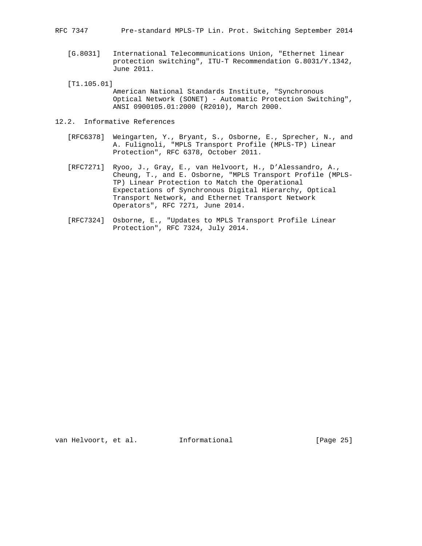RFC 7347 Pre-standard MPLS-TP Lin. Prot. Switching September 2014

- [G.8031] International Telecommunications Union, "Ethernet linear protection switching", ITU-T Recommendation G.8031/Y.1342, June 2011.
- [T1.105.01]
	- American National Standards Institute, "Synchronous Optical Network (SONET) - Automatic Protection Switching", ANSI 0900105.01:2000 (R2010), March 2000.
- 12.2. Informative References
	- [RFC6378] Weingarten, Y., Bryant, S., Osborne, E., Sprecher, N., and A. Fulignoli, "MPLS Transport Profile (MPLS-TP) Linear Protection", RFC 6378, October 2011.
	- [RFC7271] Ryoo, J., Gray, E., van Helvoort, H., D'Alessandro, A., Cheung, T., and E. Osborne, "MPLS Transport Profile (MPLS- TP) Linear Protection to Match the Operational Expectations of Synchronous Digital Hierarchy, Optical Transport Network, and Ethernet Transport Network Operators", RFC 7271, June 2014.
	- [RFC7324] Osborne, E., "Updates to MPLS Transport Profile Linear Protection", RFC 7324, July 2014.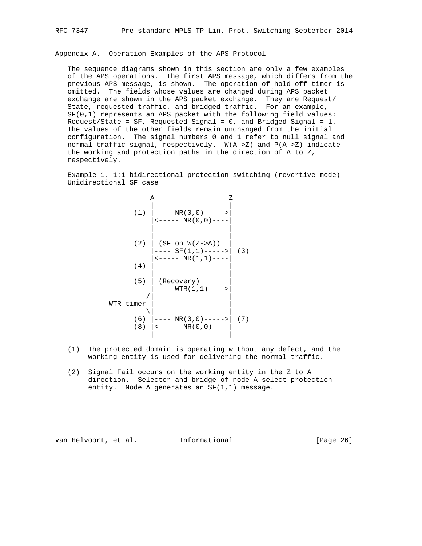Appendix A. Operation Examples of the APS Protocol

 The sequence diagrams shown in this section are only a few examples of the APS operations. The first APS message, which differs from the previous APS message, is shown. The operation of hold-off timer is omitted. The fields whose values are changed during APS packet exchange are shown in the APS packet exchange. They are Request/ State, requested traffic, and bridged traffic. For an example, SF(0,1) represents an APS packet with the following field values: Request/State = SF, Requested Signal = 0, and Bridged Signal = 1. The values of the other fields remain unchanged from the initial configuration. The signal numbers 0 and 1 refer to null signal and normal traffic signal, respectively. W(A->Z) and P(A->Z) indicate the working and protection paths in the direction of A to Z, respectively.

 Example 1. 1:1 bidirectional protection switching (revertive mode) - Unidirectional SF case

|            | Α<br>Ζ                                                                                                             |     |
|------------|--------------------------------------------------------------------------------------------------------------------|-----|
| (1)        | $--- NR(0,0)---$<br>$\leftarrow$ - - - - NR(0,0) - - - -                                                           |     |
| (2)        | $(SF \t{on} W(Z->A))$<br>--- SF(1,1)-----><br>$\leftarrow \leftarrow \leftarrow -$ NR(1,1) $\leftarrow \leftarrow$ | (3) |
| (4)        |                                                                                                                    |     |
| (5)        | (Recovery)<br>$WTR(1,1)$ ---->                                                                                     |     |
| WTR timer  |                                                                                                                    |     |
| (6)<br>(8) | $ ---NR(0,0)---\rangle$<br>$\vert$ <----- NR(0,0)----                                                              | (7) |

- (1) The protected domain is operating without any defect, and the working entity is used for delivering the normal traffic.
- (2) Signal Fail occurs on the working entity in the Z to A direction. Selector and bridge of node A select protection entity. Node A generates an SF(1,1) message.

van Helvoort, et al. Informational [Page 26]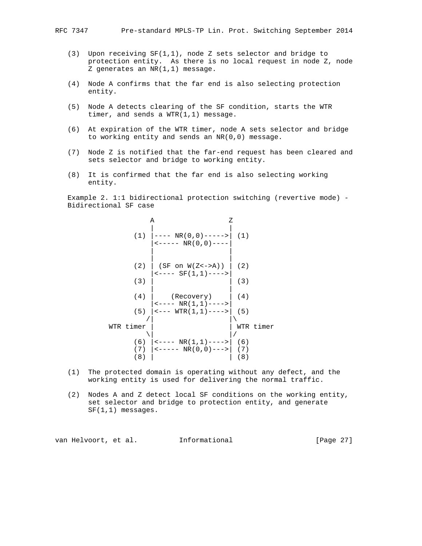- - (3) Upon receiving SF(1,1), node Z sets selector and bridge to protection entity. As there is no local request in node Z, node Z generates an NR(1,1) message.
	- (4) Node A confirms that the far end is also selecting protection entity.
	- (5) Node A detects clearing of the SF condition, starts the WTR timer, and sends a WTR(1,1) message.
	- (6) At expiration of the WTR timer, node A sets selector and bridge to working entity and sends an NR(0,0) message.
	- (7) Node Z is notified that the far-end request has been cleared and sets selector and bridge to working entity.
	- (8) It is confirmed that the far end is also selecting working entity.

 Example 2. 1:1 bidirectional protection switching (revertive mode) - Bidirectional SF case

|                   | Α                                                                                                                 | Ζ                 |           |
|-------------------|-------------------------------------------------------------------------------------------------------------------|-------------------|-----------|
| (1)               | $--- \, \text{NR}(0,0) ---$<br>$\leftarrow$ - - - - NR(0,0) - - - -                                               | (1)               |           |
| (2)               | $(SF \t{on} W(Z\lt -\gt;A))$<br>$\leftarrow \leftarrow \leftarrow$ SF $(1,1)$ $\leftarrow \leftarrow \rightarrow$ | (2)               |           |
| (3)               |                                                                                                                   | (3)               |           |
| (4)               | (Recovery)<br>$\leftarrow \leftarrow \leftarrow \text{NR}(1,1) \leftarrow \leftarrow \leftarrow$                  | (4)               |           |
| (5)               | $ ---WTR(1,1)---$                                                                                                 | (5)               |           |
| timer<br>WTR      |                                                                                                                   |                   | WTR timer |
| (6)<br>(7)<br>(8) | $\left  \left( - - - \right) \right $ NR $(1,1)$ ----><br>$ $ <----- NR(0,0)--->                                  | (6)<br>(7)<br>(8) |           |

- (1) The protected domain is operating without any defect, and the working entity is used for delivering the normal traffic.
- (2) Nodes A and Z detect local SF conditions on the working entity, set selector and bridge to protection entity, and generate SF(1,1) messages.

van Helvoort, et al. 1nformational [Page 27]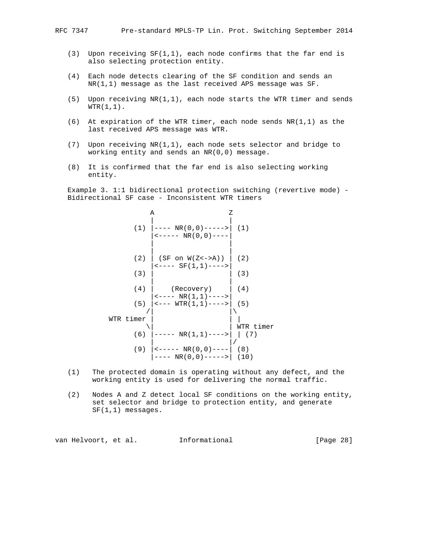- (3) Upon receiving  $SF(1,1)$ , each node confirms that the far end is also selecting protection entity.
- (4) Each node detects clearing of the SF condition and sends an NR(1,1) message as the last received APS message was SF.
- (5) Upon receiving NR(1,1), each node starts the WTR timer and sends  $WTR(1,1)$ .
- (6) At expiration of the WTR timer, each node sends  $NR(1,1)$  as the last received APS message was WTR.
- (7) Upon receiving NR(1,1), each node sets selector and bridge to working entity and sends an NR(0,0) message.
- (8) It is confirmed that the far end is also selecting working entity.

 Example 3. 1:1 bidirectional protection switching (revertive mode) - Bidirectional SF case - Inconsistent WTR timers

| Α                                                                                                                    | Ζ                |
|----------------------------------------------------------------------------------------------------------------------|------------------|
| (1)<br> ---- NR(0,0)-----> <br>$\leftarrow$ - - - - NR(0,0) - - - -                                                  | (1)              |
| (2)<br>$(SF \t{on} W(Z\lt -\gt;A))$<br>$\leftarrow \leftarrow \leftarrow$ SF(1,1) $\leftarrow \leftarrow \leftarrow$ | (2)              |
| (3)                                                                                                                  | (3)              |
| (4)<br>(Recovery)                                                                                                    | (4)              |
| $\leftarrow \leftarrow \leftarrow \text{NR}(1,1) \leftarrow \leftarrow \leftarrow$<br>  <--- WTR(1,1)----> <br>(5)   | (5)              |
| WTR timer                                                                                                            |                  |
| (6)<br> ----- NR(1,1)---->                                                                                           | WTR timer<br>(7) |
| (9)<br>  <----- NR(0,0)---- <br>---- NR(0,0)----->  (10)                                                             | (8)              |

- (1) The protected domain is operating without any defect, and the working entity is used for delivering the normal traffic.
- (2) Nodes A and Z detect local SF conditions on the working entity, set selector and bridge to protection entity, and generate SF(1,1) messages.

van Helvoort, et al. 1nformational [Page 28]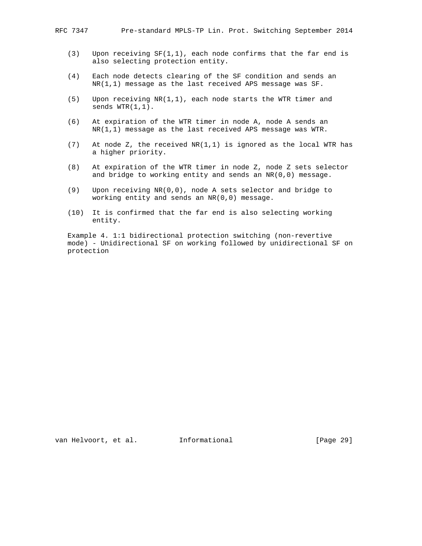- (3) Upon receiving SF(1,1), each node confirms that the far end is also selecting protection entity.
- (4) Each node detects clearing of the SF condition and sends an NR(1,1) message as the last received APS message was SF.
- (5) Upon receiving NR(1,1), each node starts the WTR timer and sends  $WTR(1,1)$ .
- (6) At expiration of the WTR timer in node A, node A sends an NR(1,1) message as the last received APS message was WTR.
- (7) At node Z, the received NR(1,1) is ignored as the local WTR has a higher priority.
- (8) At expiration of the WTR timer in node Z, node Z sets selector and bridge to working entity and sends an NR(0,0) message.
- (9) Upon receiving NR(0,0), node A sets selector and bridge to working entity and sends an NR(0,0) message.
- (10) It is confirmed that the far end is also selecting working entity.

 Example 4. 1:1 bidirectional protection switching (non-revertive mode) - Unidirectional SF on working followed by unidirectional SF on protection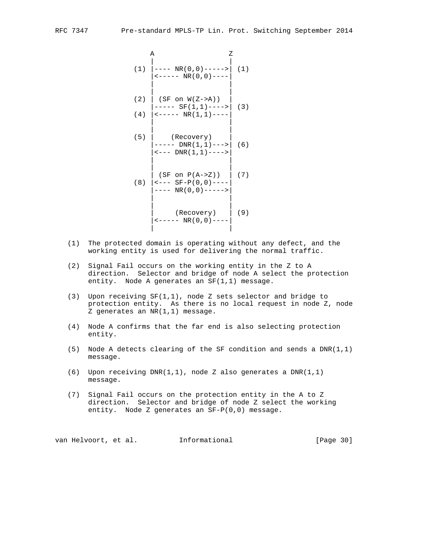$$
\begin{array}{c|c}\n\text{A} & \text{Z} \\
(1) & \text{---} & \text{NR}(0,0) \text{---} & (1) \\
\text{---} & \text{NR}(0,0) \text{---} & \\
\text{(1)} & \text{---} & \text{NR}(0,0) \text{---} & \\
\text{(2)} & \text{(SF on W(Z > A))} & \\
\text{---} & \text{SF}(1,1) \text{---} & \\
\text{(3)} & \text{---} & \text{NR}(1,1) \text{---} & \\
\text{(4)} & \text{---} & \text{NR}(1,1) \text{---} & \\
\text{(Recovery)} & \\
\text{---} & \text{DNR}(1,1) \text{---} & \\
\text{(SF on P(A > Z))} & \\
\text{(SF on P(A > Z))} & \\
\text{(S)} & \text{---} & \text{SF} \text{-(0,0)---} & \\
\text{---} & \text{NR}(0,0) & \text{---} & \\
\text{(Recovery)} & \\
\text{(Recovery)} & \\
\text{(Recovery)} & \\
\text{(P_{\text{C}} & \\
\text{(Recovery)} & \\
\end{array}
$$

- (1) The protected domain is operating without any defect, and the working entity is used for delivering the normal traffic.
- (2) Signal Fail occurs on the working entity in the Z to A direction. Selector and bridge of node A select the protection entity. Node A generates an SF(1,1) message.
- (3) Upon receiving SF(1,1), node Z sets selector and bridge to protection entity. As there is no local request in node Z, node Z generates an NR(1,1) message.
- (4) Node A confirms that the far end is also selecting protection entity.
- (5) Node A detects clearing of the SF condition and sends a DNR(1,1) message.
- (6) Upon receiving DNR(1,1), node Z also generates a DNR(1,1) message.
- (7) Signal Fail occurs on the protection entity in the A to Z direction. Selector and bridge of node Z select the working entity. Node Z generates an SF-P(0,0) message.

van Helvoort, et al. 1nformational (Page 30)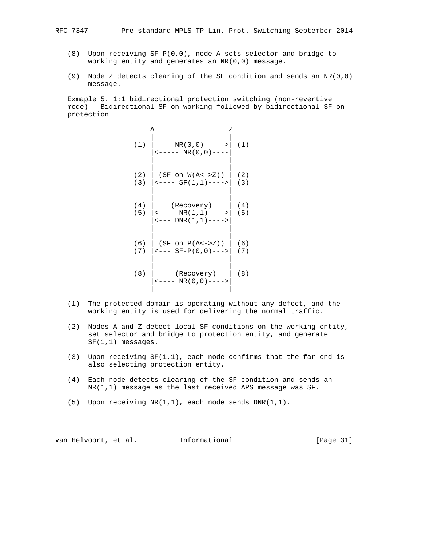- (8) Upon receiving SF-P(0,0), node A sets selector and bridge to working entity and generates an NR(0,0) message.
- (9) Node Z detects clearing of the SF condition and sends an NR(0,0) message.

 Exmaple 5. 1:1 bidirectional protection switching (non-revertive mode) - Bidirectional SF on working followed by bidirectional SF on protection

|     | Α<br>Ζ                                                                       |            |
|-----|------------------------------------------------------------------------------|------------|
|     | $(1)$ $ ---NR(0,0)--->$<br>$\leftarrow$ ----- NR(0,0)----                    | (1)        |
|     | $(2)$   (SF on W(A<->Z))  <br>$(3)$   < - - - - SF $(1,1)$ - - - - >   (3)   | (2)        |
|     | $(4)$ (Recovery)  <br>$(5)$   <---- NR(1,1) ---->   (5)<br>$ ---DNR(1,1)---$ | (4)        |
|     | $(6)$   (SF on $P(A<->Z)$ )  <br>$(7)$   <--- SF-P(0,0)--->                  | (6)<br>(7) |
| (8) | (Recovery)<br>$\leftarrow---N R (0, 0) ---$                                  | (8)        |

- (1) The protected domain is operating without any defect, and the working entity is used for delivering the normal traffic.
- (2) Nodes A and Z detect local SF conditions on the working entity, set selector and bridge to protection entity, and generate SF(1,1) messages.
- (3) Upon receiving  $SF(1,1)$ , each node confirms that the far end is also selecting protection entity.
- (4) Each node detects clearing of the SF condition and sends an NR(1,1) message as the last received APS message was SF.
- (5) Upon receiving NR(1,1), each node sends DNR(1,1).

van Helvoort, et al. 1nformational [Page 31]